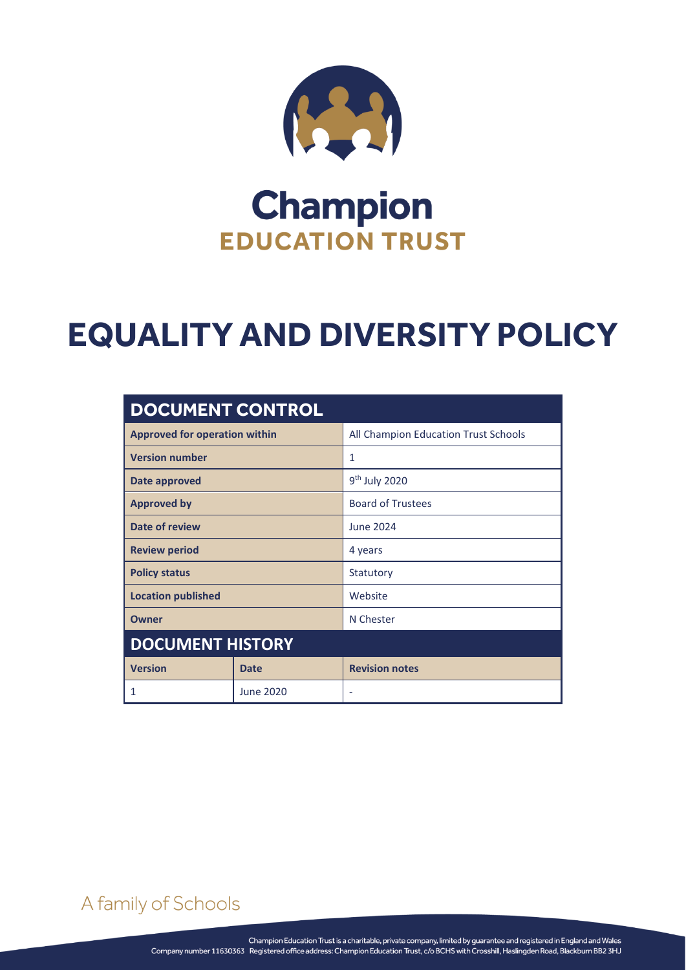

## **Champion EDUCATION TRUST**

# **EQUALITY AND DIVERSITY POLICY**

| <b>DOCUMENT CONTROL</b>              |             |                                      |
|--------------------------------------|-------------|--------------------------------------|
| <b>Approved for operation within</b> |             | All Champion Education Trust Schools |
| <b>Version number</b>                |             | 1                                    |
| Date approved                        |             | $9th$ July 2020                      |
| <b>Approved by</b>                   |             | <b>Board of Trustees</b>             |
| Date of review                       |             | June 2024                            |
| <b>Review period</b>                 |             | 4 years                              |
| <b>Policy status</b>                 |             | Statutory                            |
| <b>Location published</b>            |             | Website                              |
| Owner                                |             | N Chester                            |
| <b>DOCUMENT HISTORY</b>              |             |                                      |
| <b>Version</b>                       | <b>Date</b> | <b>Revision notes</b>                |
| 1                                    | June 2020   |                                      |

## A family of Schools

EQUALITY AND DIVERSITY POLICY Page **0** of **3**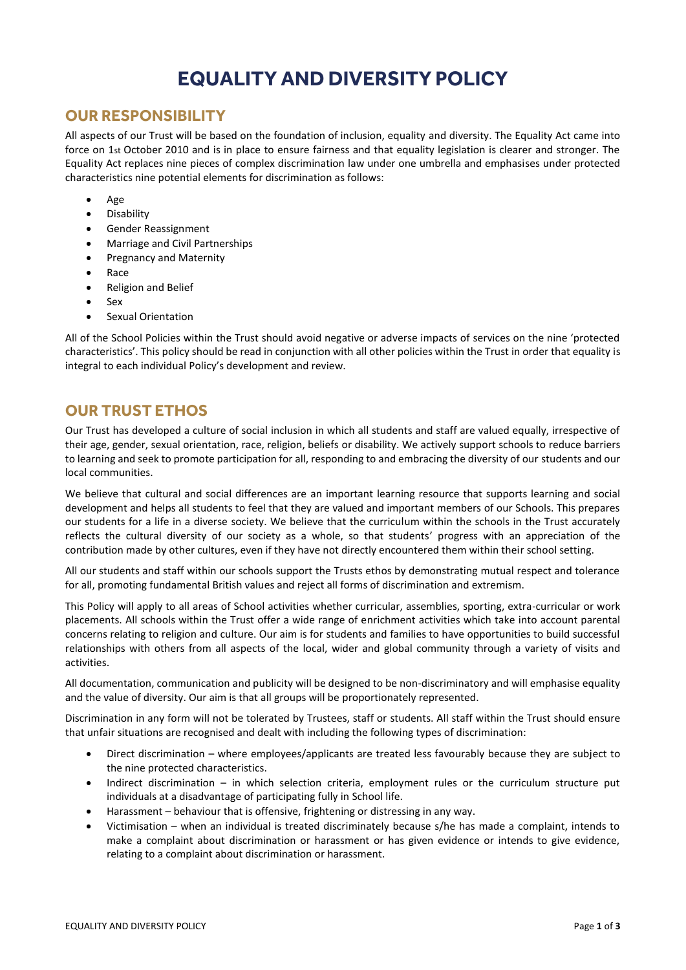### **EQUALITY AND DIVERSITY POLICY**

#### **OUR RESPONSIBILITY**

All aspects of our Trust will be based on the foundation of inclusion, equality and diversity. The Equality Act came into force on 1st October 2010 and is in place to ensure fairness and that equality legislation is clearer and stronger. The Equality Act replaces nine pieces of complex discrimination law under one umbrella and emphasises under protected characteristics nine potential elements for discrimination as follows:

- Age
- **•** Disability
- Gender Reassignment
- Marriage and Civil Partnerships
- Pregnancy and Maternity
- Race
- Religion and Belief
- Sex
- Sexual Orientation

All of the School Policies within the Trust should avoid negative or adverse impacts of services on the nine 'protected characteristics'. This policy should be read in conjunction with all other policies within the Trust in order that equality is integral to each individual Policy's development and review.

#### **OUR TRUST ETHOS**

Our Trust has developed a culture of social inclusion in which all students and staff are valued equally, irrespective of their age, gender, sexual orientation, race, religion, beliefs or disability. We actively support schools to reduce barriers to learning and seek to promote participation for all, responding to and embracing the diversity of our students and our local communities.

We believe that cultural and social differences are an important learning resource that supports learning and social development and helps all students to feel that they are valued and important members of our Schools. This prepares our students for a life in a diverse society. We believe that the curriculum within the schools in the Trust accurately reflects the cultural diversity of our society as a whole, so that students' progress with an appreciation of the contribution made by other cultures, even if they have not directly encountered them within their school setting.

All our students and staff within our schools support the Trusts ethos by demonstrating mutual respect and tolerance for all, promoting fundamental British values and reject all forms of discrimination and extremism.

This Policy will apply to all areas of School activities whether curricular, assemblies, sporting, extra-curricular or work placements. All schools within the Trust offer a wide range of enrichment activities which take into account parental concerns relating to religion and culture. Our aim is for students and families to have opportunities to build successful relationships with others from all aspects of the local, wider and global community through a variety of visits and activities.

All documentation, communication and publicity will be designed to be non-discriminatory and will emphasise equality and the value of diversity. Our aim is that all groups will be proportionately represented.

Discrimination in any form will not be tolerated by Trustees, staff or students. All staff within the Trust should ensure that unfair situations are recognised and dealt with including the following types of discrimination:

- Direct discrimination where employees/applicants are treated less favourably because they are subject to the nine protected characteristics.
- Indirect discrimination in which selection criteria, employment rules or the curriculum structure put individuals at a disadvantage of participating fully in School life.
- Harassment behaviour that is offensive, frightening or distressing in any way.
- Victimisation when an individual is treated discriminately because s/he has made a complaint, intends to make a complaint about discrimination or harassment or has given evidence or intends to give evidence, relating to a complaint about discrimination or harassment.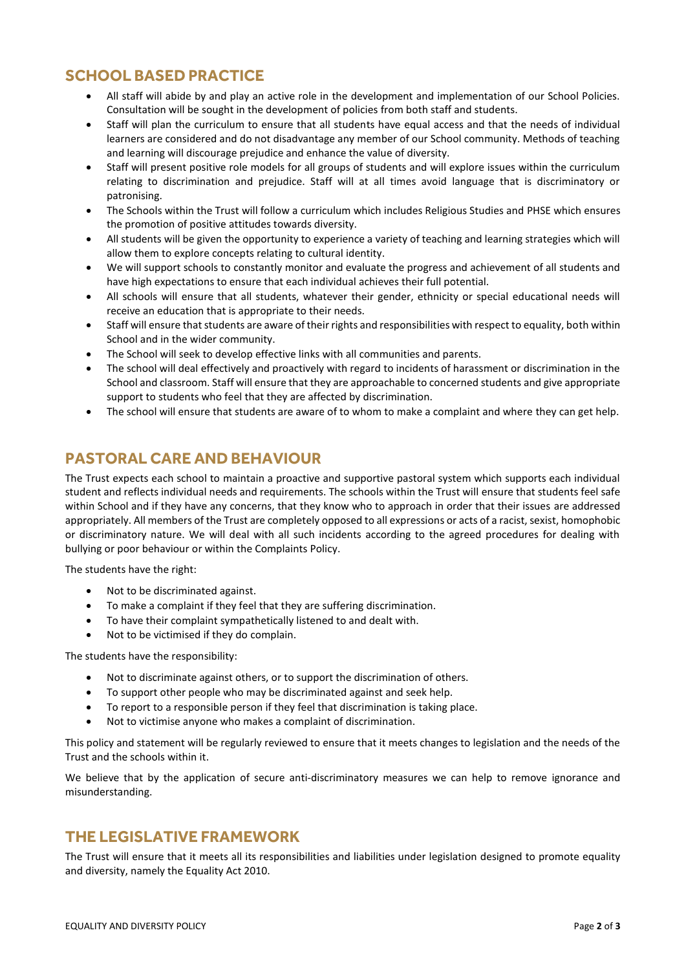#### **SCHOOL BASED PRACTICE**

- All staff will abide by and play an active role in the development and implementation of our School Policies. Consultation will be sought in the development of policies from both staff and students.
- Staff will plan the curriculum to ensure that all students have equal access and that the needs of individual learners are considered and do not disadvantage any member of our School community. Methods of teaching and learning will discourage prejudice and enhance the value of diversity.
- Staff will present positive role models for all groups of students and will explore issues within the curriculum relating to discrimination and prejudice. Staff will at all times avoid language that is discriminatory or patronising.
- The Schools within the Trust will follow a curriculum which includes Religious Studies and PHSE which ensures the promotion of positive attitudes towards diversity.
- All students will be given the opportunity to experience a variety of teaching and learning strategies which will allow them to explore concepts relating to cultural identity.
- We will support schools to constantly monitor and evaluate the progress and achievement of all students and have high expectations to ensure that each individual achieves their full potential.
- All schools will ensure that all students, whatever their gender, ethnicity or special educational needs will receive an education that is appropriate to their needs.
- Staff will ensure that students are aware of their rights and responsibilities with respect to equality, both within School and in the wider community.
- The School will seek to develop effective links with all communities and parents.
- The school will deal effectively and proactively with regard to incidents of harassment or discrimination in the School and classroom. Staff will ensure that they are approachable to concerned students and give appropriate support to students who feel that they are affected by discrimination.
- The school will ensure that students are aware of to whom to make a complaint and where they can get help.

#### **PASTORAL CARE AND BEHAVIOUR**

The Trust expects each school to maintain a proactive and supportive pastoral system which supports each individual student and reflects individual needs and requirements. The schools within the Trust will ensure that students feel safe within School and if they have any concerns, that they know who to approach in order that their issues are addressed appropriately. All members of the Trust are completely opposed to all expressions or acts of a racist, sexist, homophobic or discriminatory nature. We will deal with all such incidents according to the agreed procedures for dealing with bullying or poor behaviour or within the Complaints Policy.

The students have the right:

- Not to be discriminated against.
- To make a complaint if they feel that they are suffering discrimination.
- To have their complaint sympathetically listened to and dealt with.
- Not to be victimised if they do complain.

The students have the responsibility:

- Not to discriminate against others, or to support the discrimination of others.
- To support other people who may be discriminated against and seek help.
- To report to a responsible person if they feel that discrimination is taking place.
- Not to victimise anyone who makes a complaint of discrimination.

This policy and statement will be regularly reviewed to ensure that it meets changes to legislation and the needs of the Trust and the schools within it.

We believe that by the application of secure anti-discriminatory measures we can help to remove ignorance and misunderstanding.

#### **THE LEGISLATIVE FRAMEWORK**

The Trust will ensure that it meets all its responsibilities and liabilities under legislation designed to promote equality and diversity, namely the Equality Act 2010.